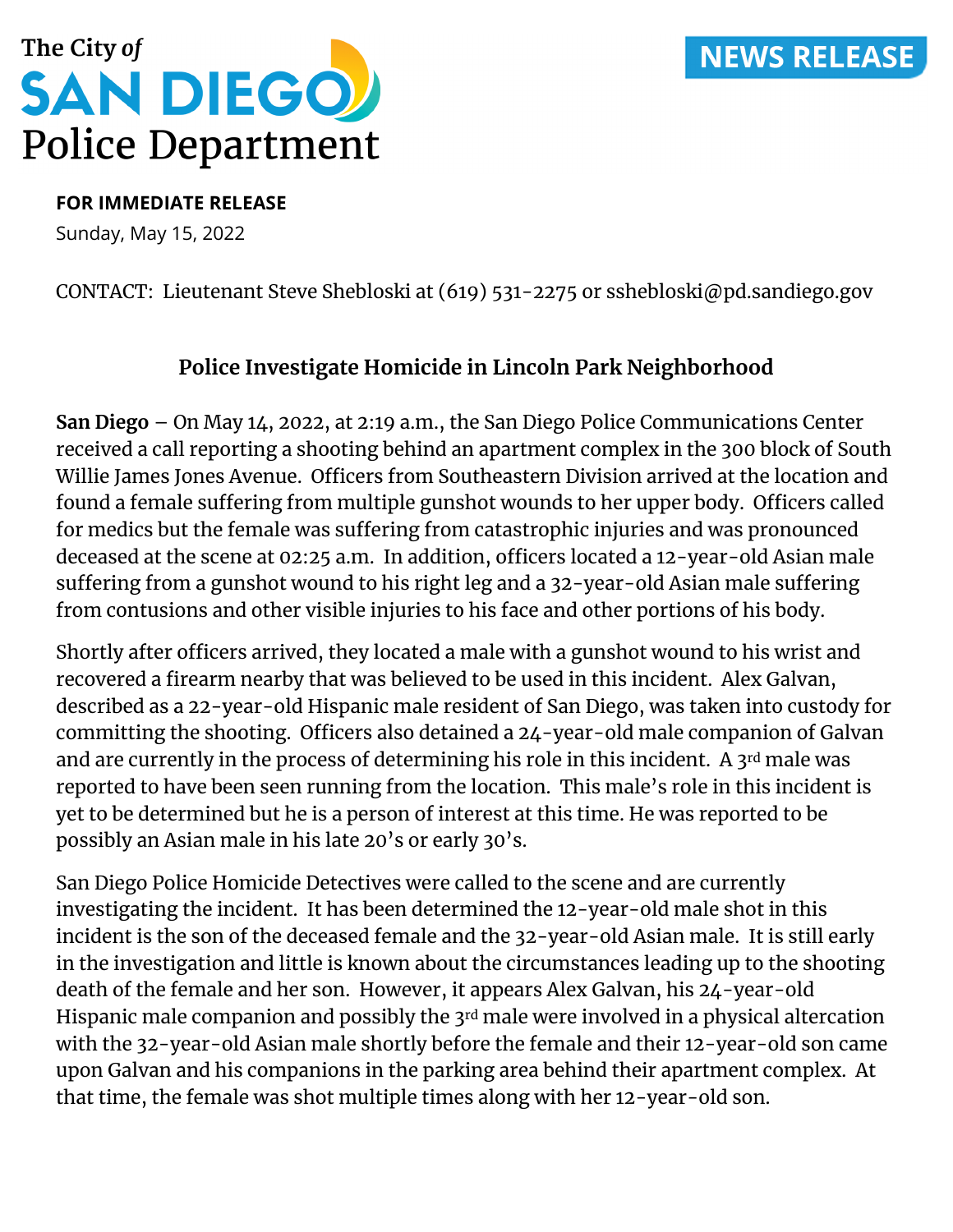# **NEWS RELEASE**



#### **FOR IMMEDIATE RELEASE**

Sunday, May 15, 2022

### CONTACT: Lieutenant Steve Shebloski at (619) 531-2275 or sshebloski@pd.sandiego.gov

## **Police Investigate Homicide in Lincoln Park Neighborhood**

**San Diego** – On May 14, 2022, at 2:19 a.m., the San Diego Police Communications Center received a call reporting a shooting behind an apartment complex in the 300 block of South Willie James Jones Avenue. Officers from Southeastern Division arrived at the location and found a female suffering from multiple gunshot wounds to her upper body. Officers called for medics but the female was suffering from catastrophic injuries and was pronounced deceased at the scene at 02:25 a.m. In addition, officers located a 12-year-old Asian male suffering from a gunshot wound to his right leg and a 32-year-old Asian male suffering from contusions and other visible injuries to his face and other portions of his body.

Shortly after officers arrived, they located a male with a gunshot wound to his wrist and recovered a firearm nearby that was believed to be used in this incident. Alex Galvan, described as a 22-year-old Hispanic male resident of San Diego, was taken into custody for committing the shooting. Officers also detained a 24-year-old male companion of Galvan and are currently in the process of determining his role in this incident. A 3rd male was reported to have been seen running from the location. This male's role in this incident is yet to be determined but he is a person of interest at this time. He was reported to be possibly an Asian male in his late 20's or early 30's.

San Diego Police Homicide Detectives were called to the scene and are currently investigating the incident. It has been determined the 12-year-old male shot in this incident is the son of the deceased female and the 32-year-old Asian male. It is still early in the investigation and little is known about the circumstances leading up to the shooting death of the female and her son. However, it appears Alex Galvan, his 24-year-old Hispanic male companion and possibly the 3rd male were involved in a physical altercation with the 32-year-old Asian male shortly before the female and their 12-year-old son came upon Galvan and his companions in the parking area behind their apartment complex. At that time, the female was shot multiple times along with her 12-year-old son.